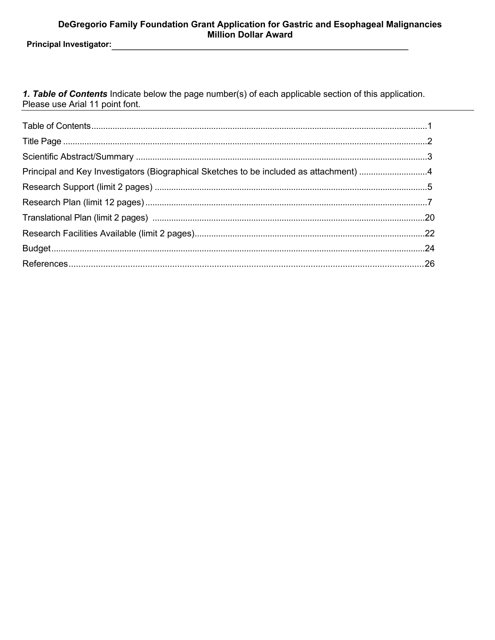1. Table of Contents Indicate below the page number(s) of each applicable section of this application. Please use Arial 11 point font.

| Principal and Key Investigators (Biographical Sketches to be included as attachment) 4 |  |
|----------------------------------------------------------------------------------------|--|
|                                                                                        |  |
|                                                                                        |  |
|                                                                                        |  |
|                                                                                        |  |
|                                                                                        |  |
|                                                                                        |  |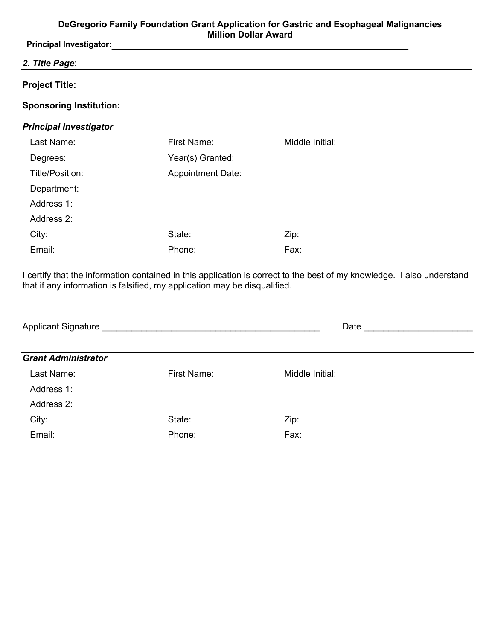**Principal Investigator:**

## *2. Title Page*:

## **Project Title:**

## **Sponsoring Institution:**

## *Principal Investigator*

| Last Name:      | First Name:              | Middle Initial: |
|-----------------|--------------------------|-----------------|
| Degrees:        | Year(s) Granted:         |                 |
| Title/Position: | <b>Appointment Date:</b> |                 |
| Department:     |                          |                 |
| Address 1:      |                          |                 |
| Address 2:      |                          |                 |
| City:           | State:                   | Zip:            |
| Email:          | Phone:                   | Fax:            |

I certify that the information contained in this application is correct to the best of my knowledge. I also understand that if any information is falsified, my application may be disqualified.

| <b>Applicant Signature</b> |                    | Date            |  |
|----------------------------|--------------------|-----------------|--|
| <b>Grant Administrator</b> |                    |                 |  |
| Last Name:                 | <b>First Name:</b> | Middle Initial: |  |
| Address 1:                 |                    |                 |  |
| Address 2:                 |                    |                 |  |
| City:                      | State:             | Zip:            |  |
| Email:                     | Phone:             | Fax:            |  |
|                            |                    |                 |  |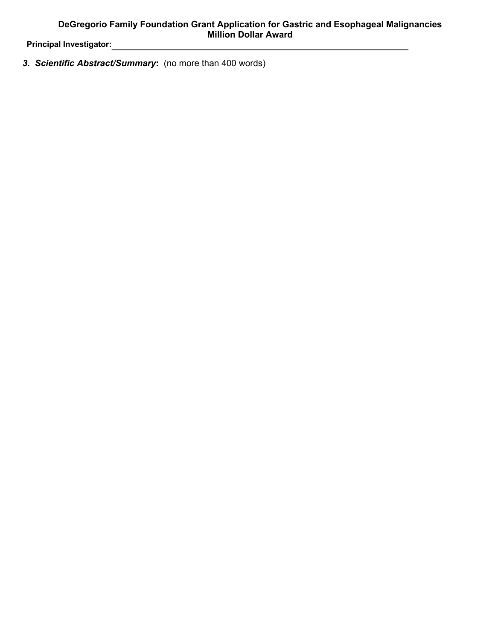*3. Scientific Abstract/Summary***:** (no more than 400 words)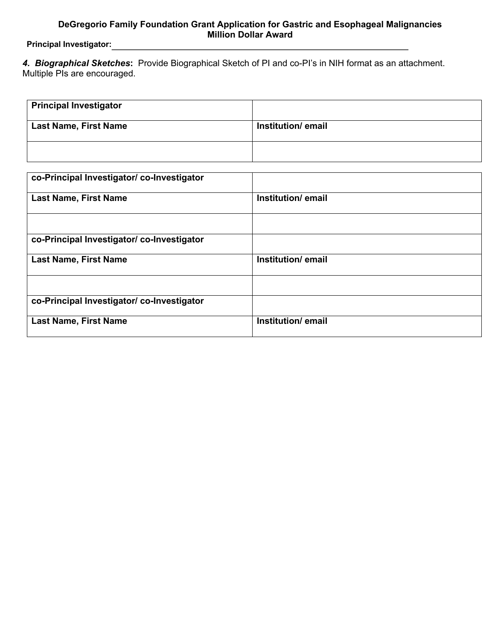**Principal Investigator:**

*4. Biographical Sketches***:** Provide Biographical Sketch of PI and co-PI's in NIH format as an attachment. Multiple PIs are encouraged.

| <b>Principal Investigator</b> |                    |
|-------------------------------|--------------------|
| <b>Last Name, First Name</b>  | Institution/ email |
|                               |                    |

| co-Principal Investigator/ co-Investigator |                   |  |  |
|--------------------------------------------|-------------------|--|--|
| <b>Last Name, First Name</b>               | Institution/email |  |  |
|                                            |                   |  |  |
| co-Principal Investigator/co-Investigator  |                   |  |  |
| <b>Last Name, First Name</b>               | Institution/email |  |  |
|                                            |                   |  |  |
| co-Principal Investigator/co-Investigator  |                   |  |  |
| <b>Last Name, First Name</b>               | Institution/email |  |  |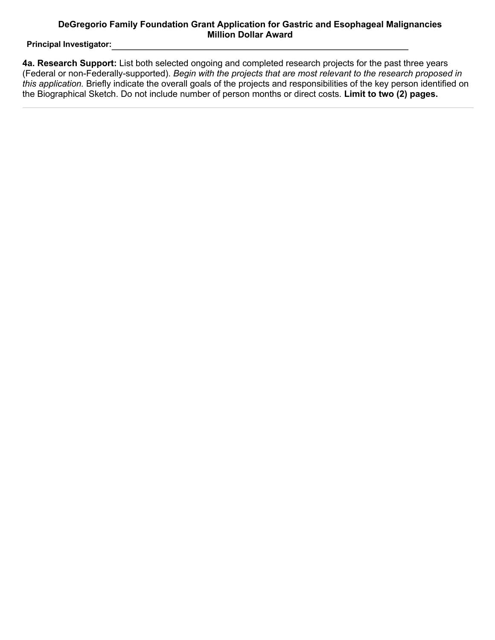**Principal Investigator:**

**4a. Research Support:** List both selected ongoing and completed research projects for the past three years (Federal or non-Federally-supported). *Begin with the projects that are most relevant to the research proposed in this application.* Briefly indicate the overall goals of the projects and responsibilities of the key person identified on the Biographical Sketch. Do not include number of person months or direct costs. **Limit to two (2) pages.**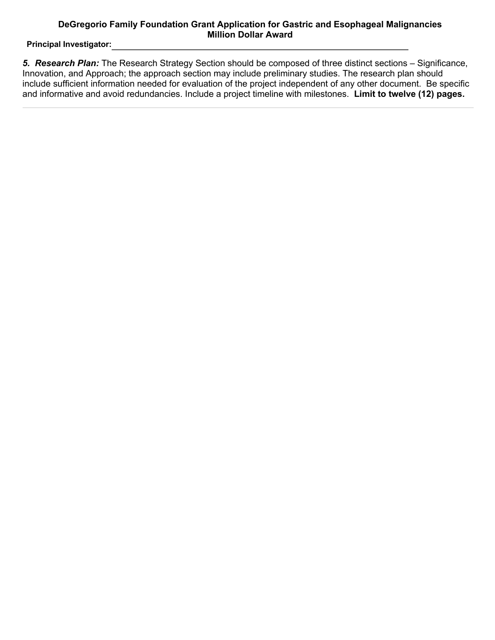**Principal Investigator:**

*5. Research Plan:* The Research Strategy Section should be composed of three distinct sections – Significance, Innovation, and Approach; the approach section may include preliminary studies. The research plan should include sufficient information needed for evaluation of the project independent of any other document. Be specific and informative and avoid redundancies. Include a project timeline with milestones. **Limit to twelve (12) pages.**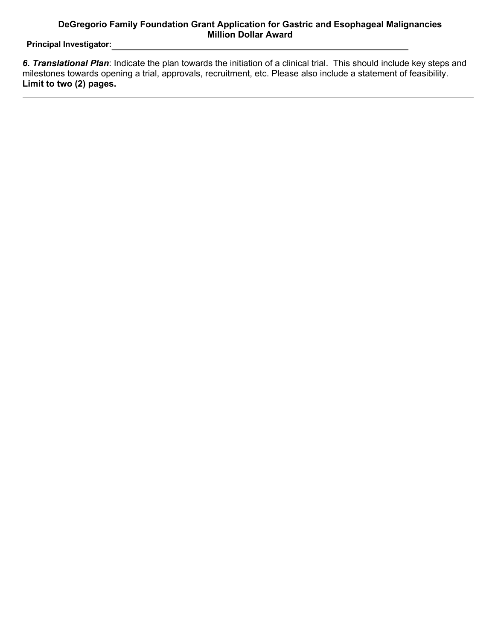**Principal Investigator:**

*6. Translational Plan*: Indicate the plan towards the initiation of a clinical trial. This should include key steps and milestones towards opening a trial, approvals, recruitment, etc. Please also include a statement of feasibility. **Limit to two (2) pages.**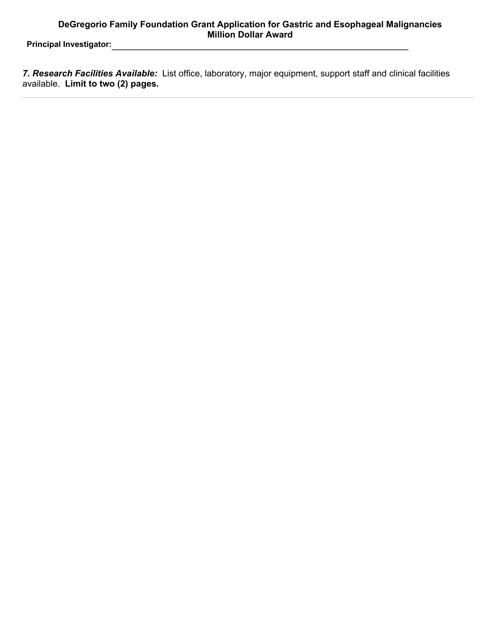**Principal Investigator:**

*7. Research Facilities Available:* List office, laboratory, major equipment, support staff and clinical facilities available. **Limit to two (2) pages.**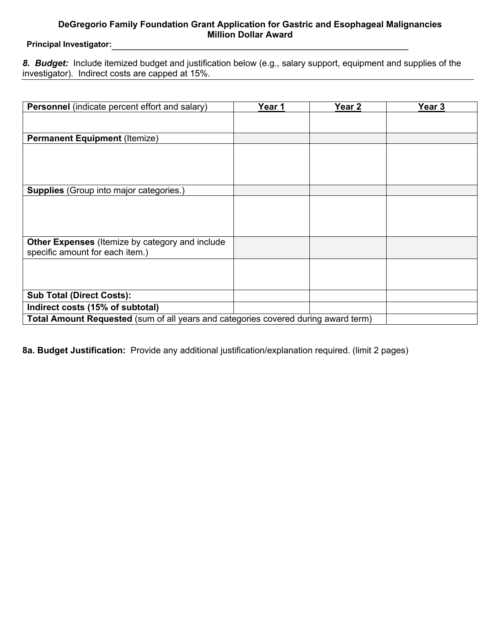**Principal Investigator:**

*8. Budget:*Include itemized budget and justification below (e.g., salary support, equipment and supplies of the investigator). Indirect costs are capped at 15%.

| Personnel (indicate percent effort and salary)                                     | Year 1 | Year 2 | Year 3 |
|------------------------------------------------------------------------------------|--------|--------|--------|
|                                                                                    |        |        |        |
|                                                                                    |        |        |        |
| <b>Permanent Equipment (Itemize)</b>                                               |        |        |        |
|                                                                                    |        |        |        |
|                                                                                    |        |        |        |
|                                                                                    |        |        |        |
|                                                                                    |        |        |        |
| Supplies (Group into major categories.)                                            |        |        |        |
|                                                                                    |        |        |        |
|                                                                                    |        |        |        |
|                                                                                    |        |        |        |
| Other Expenses (Itemize by category and include                                    |        |        |        |
| specific amount for each item.)                                                    |        |        |        |
|                                                                                    |        |        |        |
|                                                                                    |        |        |        |
|                                                                                    |        |        |        |
| <b>Sub Total (Direct Costs):</b>                                                   |        |        |        |
| Indirect costs (15% of subtotal)                                                   |        |        |        |
| Total Amount Requested (sum of all years and categories covered during award term) |        |        |        |

**8a. Budget Justification:** Provide any additional justification/explanation required. (limit 2 pages)